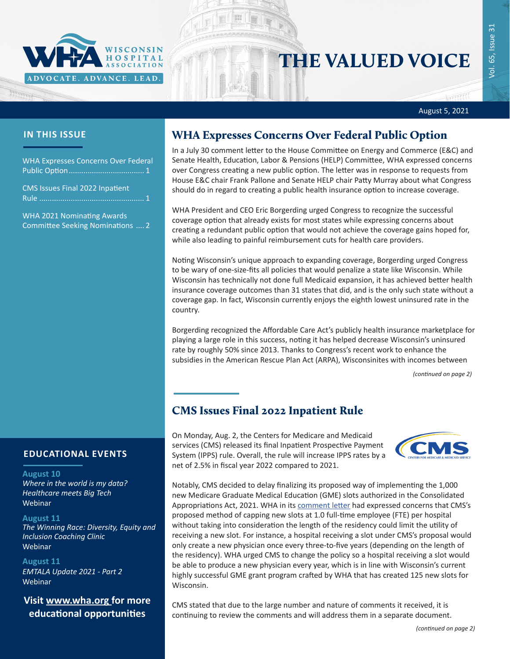

# THE VALUED VOICE

रास

Vol. 65, Issue 31

/ol. 65, Issue 31

#### August 5, 2021

### **IN THIS ISSUE**

WHA Expresses Concerns Over Federal Public Option.................................... 1

CMS Issues Final 2022 Inpatient Rule .................................................. 1

[WHA 2021 Nominating Awards](#page-1-0)  [Committee Seeking Nominations](#page-1-0) .... 2

## WHA Expresses Concerns Over Federal Public Option

In a July 30 comment letter to the House Committee on Energy and Commerce (E&C) and Senate Health, Education, Labor & Pensions (HELP) Committee, WHA expressed concerns over Congress creating a new public option. The letter was in response to requests from House E&C chair Frank Pallone and Senate HELP chair Patty Murray about what Congress should do in regard to creating a public health insurance option to increase coverage.

WHA President and CEO Eric Borgerding urged Congress to recognize the successful coverage option that already exists for most states while expressing concerns about creating a redundant public option that would not achieve the coverage gains hoped for, while also leading to painful reimbursement cuts for health care providers.

Noting Wisconsin's unique approach to expanding coverage, Borgerding urged Congress to be wary of one-size-fits all policies that would penalize a state like Wisconsin. While Wisconsin has technically not done full Medicaid expansion, it has achieved better health insurance coverage outcomes than 31 states that did, and is the only such state without a coverage gap. In fact, Wisconsin currently enjoys the eighth lowest uninsured rate in the country.

Borgerding recognized the Affordable Care Act's publicly health insurance marketplace for playing a large role in this success, noting it has helped decrease Wisconsin's uninsured rate by roughly 50% since 2013. Thanks to Congress's recent work to enhance the subsidies in the American Rescue Plan Act (ARPA), Wisconsinites with incomes between

*(continued on page 2)*

# CMS Issues Final 2022 Inpatient Rule

On Monday, Aug. 2, the Centers for Medicare and Medicaid services (CMS) released its final Inpatient Prospective Payment System (IPPS) rule. Overall, the rule will increase IPPS rates by a net of 2.5% in fiscal year 2022 compared to 2021.



Notably, CMS decided to delay finalizing its proposed way of implementing the 1,000 new Medicare Graduate Medical Education (GME) slots authorized in the Consolidated Appropriations Act, 2021. WHA in its [comment letter](https://www.wha.org/MediaRoom/WHANewsletter/2021/07-01-2021/WHA-Submits-IPPS-2022-Comment-Letter) had expressed concerns that CMS's proposed method of capping new slots at 1.0 full-time employee (FTE) per hospital without taking into consideration the length of the residency could limit the utility of receiving a new slot. For instance, a hospital receiving a slot under CMS's proposal would only create a new physician once every three-to-five years (depending on the length of the residency). WHA urged CMS to change the policy so a hospital receiving a slot would be able to produce a new physician every year, which is in line with Wisconsin's current highly successful GME grant program crafted by WHA that has created 125 new slots for Wisconsin.

CMS stated that due to the large number and nature of comments it received, it is continuing to review the comments and will address them in a separate document.

### **EDUCATIONAL EVENTS**

#### **August 10**

*[Where in the world is my data?](https://www.wha.org/AboutWHA/CalendarofEvents/Webinar-Online-Education/Where-data)  [Healthcare meets Big Tech](https://www.wha.org/AboutWHA/CalendarofEvents/Webinar-Online-Education/Where-data)* Webinar

#### **August 11**

*[The Winning Race: Diversity, Equity and](https://mailchi.mp/a58bd04a04d8/summer-dei-education-series-for-healthcare-leaders-and-trustees-2486844)  [Inclusion Coaching Clinic](https://mailchi.mp/a58bd04a04d8/summer-dei-education-series-for-healthcare-leaders-and-trustees-2486844)* Webinar

#### **August 11**

*[EMTALA Update 2021 - Part 2](https://www.wha.org/AboutWHA/CalendarofEvents/Webinar-Online-Education/EMTALA-2021-Part-2-(1))* Webinar

### **Visit [www.wha.org](https://www.wha.org) for more educational opportunities**